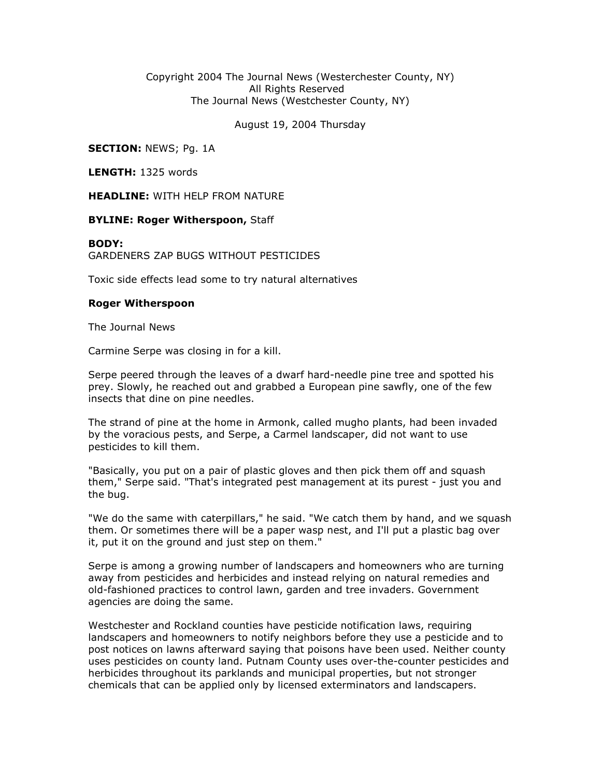## Copyright 2004 The Journal News (Westerchester County, NY) All Rights Reserved The Journal News (Westchester County, NY)

August 19, 2004 Thursday

**SECTION: NEWS; Pg. 1A** 

LENGTH: 1325 words

HEADLINE: WITH HELP FROM NATURE

## **BYLINE: Roger Witherspoon, Staff**

## BODY:

GARDENERS ZAP BUGS WITHOUT PESTICIDES

Toxic side effects lead some to try natural alternatives

## Roger Witherspoon

The Journal News

Carmine Serpe was closing in for a kill.

Serpe peered through the leaves of a dwarf hard-needle pine tree and spotted his prey. Slowly, he reached out and grabbed a European pine sawfly, one of the few insects that dine on pine needles.

The strand of pine at the home in Armonk, called mugho plants, had been invaded by the voracious pests, and Serpe, a Carmel landscaper, did not want to use pesticides to kill them.

"Basically, you put on a pair of plastic gloves and then pick them off and squash them," Serpe said. "That's integrated pest management at its purest - just you and the bug.

"We do the same with caterpillars," he said. "We catch them by hand, and we squash them. Or sometimes there will be a paper wasp nest, and I'll put a plastic bag over it, put it on the ground and just step on them."

Serpe is among a growing number of landscapers and homeowners who are turning away from pesticides and herbicides and instead relying on natural remedies and old-fashioned practices to control lawn, garden and tree invaders. Government agencies are doing the same.

Westchester and Rockland counties have pesticide notification laws, requiring landscapers and homeowners to notify neighbors before they use a pesticide and to post notices on lawns afterward saying that poisons have been used. Neither county uses pesticides on county land. Putnam County uses over-the-counter pesticides and herbicides throughout its parklands and municipal properties, but not stronger chemicals that can be applied only by licensed exterminators and landscapers.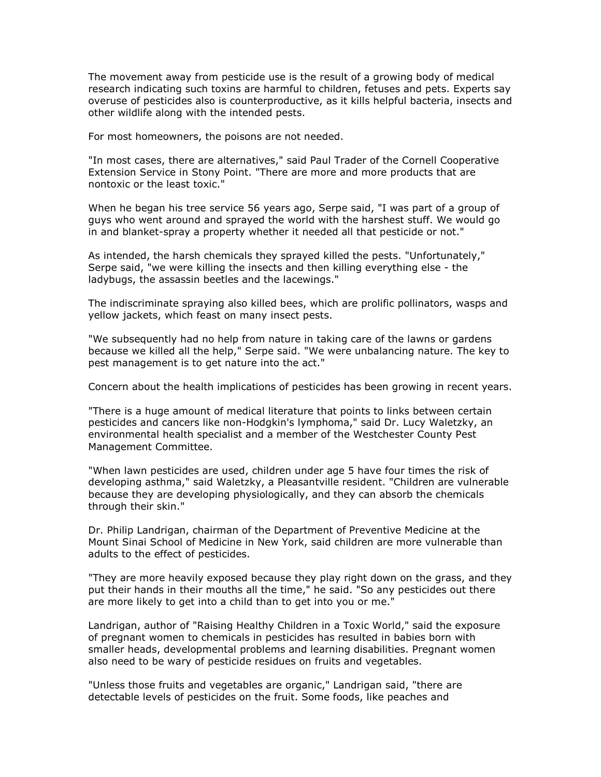The movement away from pesticide use is the result of a growing body of medical research indicating such toxins are harmful to children, fetuses and pets. Experts say overuse of pesticides also is counterproductive, as it kills helpful bacteria, insects and other wildlife along with the intended pests.

For most homeowners, the poisons are not needed.

"In most cases, there are alternatives," said Paul Trader of the Cornell Cooperative Extension Service in Stony Point. "There are more and more products that are nontoxic or the least toxic."

When he began his tree service 56 years ago, Serpe said, "I was part of a group of guys who went around and sprayed the world with the harshest stuff. We would go in and blanket-spray a property whether it needed all that pesticide or not."

As intended, the harsh chemicals they sprayed killed the pests. "Unfortunately," Serpe said, "we were killing the insects and then killing everything else - the ladybugs, the assassin beetles and the lacewings."

The indiscriminate spraying also killed bees, which are prolific pollinators, wasps and yellow jackets, which feast on many insect pests.

"We subsequently had no help from nature in taking care of the lawns or gardens because we killed all the help," Serpe said. "We were unbalancing nature. The key to pest management is to get nature into the act."

Concern about the health implications of pesticides has been growing in recent years.

"There is a huge amount of medical literature that points to links between certain pesticides and cancers like non-Hodgkin's lymphoma," said Dr. Lucy Waletzky, an environmental health specialist and a member of the Westchester County Pest Management Committee.

"When lawn pesticides are used, children under age 5 have four times the risk of developing asthma," said Waletzky, a Pleasantville resident. "Children are vulnerable because they are developing physiologically, and they can absorb the chemicals through their skin."

Dr. Philip Landrigan, chairman of the Department of Preventive Medicine at the Mount Sinai School of Medicine in New York, said children are more vulnerable than adults to the effect of pesticides.

"They are more heavily exposed because they play right down on the grass, and they put their hands in their mouths all the time," he said. "So any pesticides out there are more likely to get into a child than to get into you or me."

Landrigan, author of "Raising Healthy Children in a Toxic World," said the exposure of pregnant women to chemicals in pesticides has resulted in babies born with smaller heads, developmental problems and learning disabilities. Pregnant women also need to be wary of pesticide residues on fruits and vegetables.

"Unless those fruits and vegetables are organic," Landrigan said, "there are detectable levels of pesticides on the fruit. Some foods, like peaches and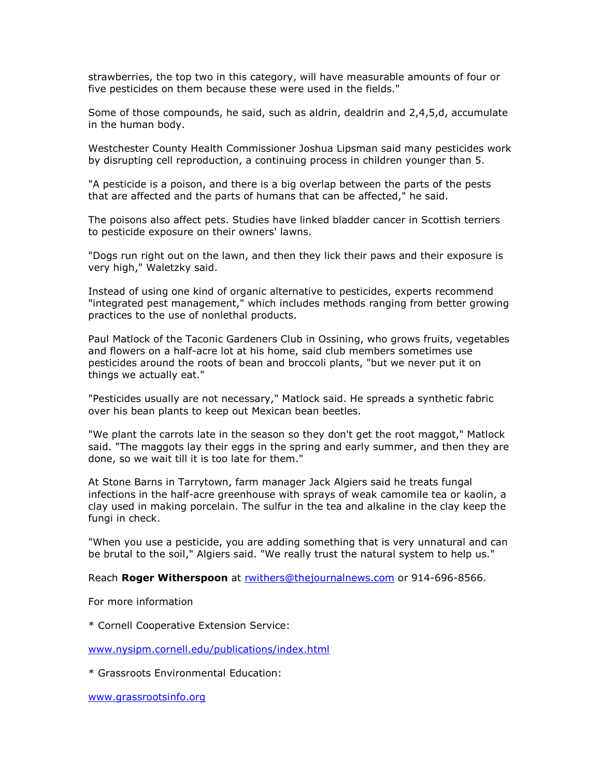strawberries, the top two in this category, will have measurable amounts of four or five pesticides on them because these were used in the fields."

Some of those compounds, he said, such as aldrin, dealdrin and 2,4,5,d, accumulate in the human body.

Westchester County Health Commissioner Joshua Lipsman said many pesticides work by disrupting cell reproduction, a continuing process in children younger than 5.

"A pesticide is a poison, and there is a big overlap between the parts of the pests that are affected and the parts of humans that can be affected," he said.

The poisons also affect pets. Studies have linked bladder cancer in Scottish terriers to pesticide exposure on their owners' lawns.

"Dogs run right out on the lawn, and then they lick their paws and their exposure is very high," Waletzky said.

Instead of using one kind of organic alternative to pesticides, experts recommend "integrated pest management," which includes methods ranging from better growing practices to the use of nonlethal products.

Paul Matlock of the Taconic Gardeners Club in Ossining, who grows fruits, vegetables and flowers on a half-acre lot at his home, said club members sometimes use pesticides around the roots of bean and broccoli plants, "but we never put it on things we actually eat."

"Pesticides usually are not necessary," Matlock said. He spreads a synthetic fabric over his bean plants to keep out Mexican bean beetles.

"We plant the carrots late in the season so they don't get the root maggot," Matlock said. "The maggots lay their eggs in the spring and early summer, and then they are done, so we wait till it is too late for them."

At Stone Barns in Tarrytown, farm manager Jack Algiers said he treats fungal infections in the half-acre greenhouse with sprays of weak camomile tea or kaolin, a clay used in making porcelain. The sulfur in the tea and alkaline in the clay keep the fungi in check.

"When you use a pesticide, you are adding something that is very unnatural and can be brutal to the soil," Algiers said. "We really trust the natural system to help us."

Reach Roger Witherspoon at rwithers@thejournalnews.com or 914-696-8566.

For more information

\* Cornell Cooperative Extension Service:

www.nysipm.cornell.edu/publications/index.html

\* Grassroots Environmental Education:

www.grassrootsinfo.org